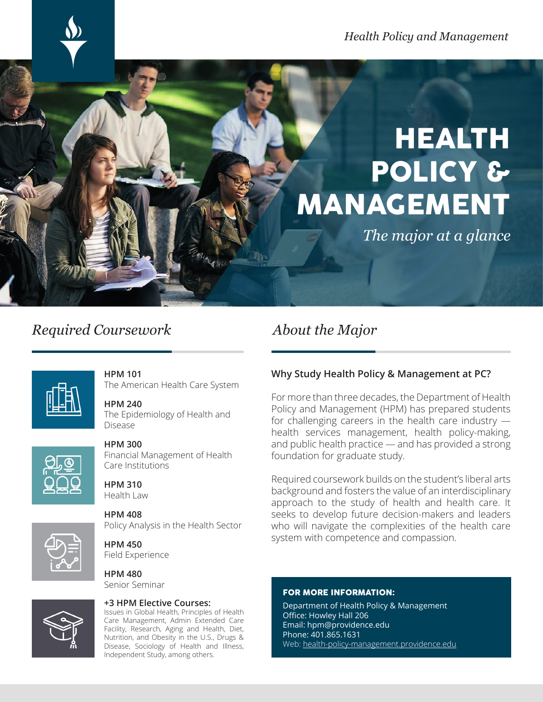# HEALTH POLICY & MANAGEMENT

*The major at a glance*

## *Required Coursework*

## *About the Major*



#### **HPM 101** The American Health Care System

#### **HPM 240** The Epidemiology of Health and Disease



#### **HPM 300**

Financial Management of Health Care Institutions

**HPM 310** Health Law

**HPM 408** Policy Analysis in the Health Sector

**HPM 450** Field Experience

**HPM 480** Senior Seminar

#### **+3 HPM Elective Courses:**

Issues in Global Health, Principles of Health Care Management, Admin Extended Care Facility, Research, Aging and Health, Diet, Nutrition, and Obesity in the U.S., Drugs & Disease, Sociology of Health and Illness, Independent Study, among others.

### **Why Study Health Policy & Management at PC?**

For more than three decades, the Department of Health Policy and Management (HPM) has prepared students for challenging careers in the health care industry health services management, health policy-making, and public health practice — and has provided a strong foundation for graduate study.

Required coursework builds on the student's liberal arts background and fosters the value of an interdisciplinary approach to the study of health and health care. It seeks to develop future decision-makers and leaders who will navigate the complexities of the health care system with competence and compassion.

#### FOR MORE INFORMATION:

Department of Health Policy & Management Office: Howley Hall 206 Email: hpm@providence.edu Phone: 401.865.1631 Web: health-policy-management.providence.edu